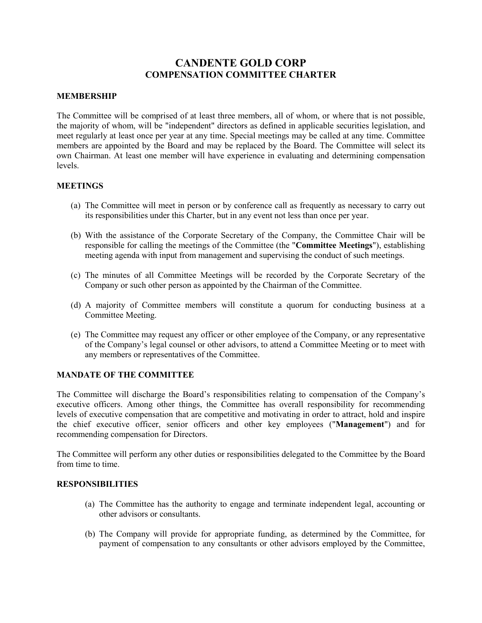# **CANDENTE GOLD CORP COMPENSATION COMMITTEE CHARTER**

#### **MEMBERSHIP**

The Committee will be comprised of at least three members, all of whom, or where that is not possible, the majority of whom, will be "independent" directors as defined in applicable securities legislation, and meet regularly at least once per year at any time. Special meetings may be called at any time. Committee members are appointed by the Board and may be replaced by the Board. The Committee will select its own Chairman. At least one member will have experience in evaluating and determining compensation levels.

#### **MEETINGS**

- (a) The Committee will meet in person or by conference call as frequently as necessary to carry out its responsibilities under this Charter, but in any event not less than once per year.
- (b) With the assistance of the Corporate Secretary of the Company, the Committee Chair will be responsible for calling the meetings of the Committee (the "**Committee Meetings**"), establishing meeting agenda with input from management and supervising the conduct of such meetings.
- (c) The minutes of all Committee Meetings will be recorded by the Corporate Secretary of the Company or such other person as appointed by the Chairman of the Committee.
- (d) A majority of Committee members will constitute a quorum for conducting business at a Committee Meeting.
- (e) The Committee may request any officer or other employee of the Company, or any representative of the Company's legal counsel or other advisors, to attend a Committee Meeting or to meet with any members or representatives of the Committee.

### **MANDATE OF THE COMMITTEE**

The Committee will discharge the Board's responsibilities relating to compensation of the Company's executive officers. Among other things, the Committee has overall responsibility for recommending levels of executive compensation that are competitive and motivating in order to attract, hold and inspire the chief executive officer, senior officers and other key employees ("**Management**") and for recommending compensation for Directors.

The Committee will perform any other duties or responsibilities delegated to the Committee by the Board from time to time.

### **RESPONSIBILITIES**

- (a) The Committee has the authority to engage and terminate independent legal, accounting or other advisors or consultants.
- (b) The Company will provide for appropriate funding, as determined by the Committee, for payment of compensation to any consultants or other advisors employed by the Committee,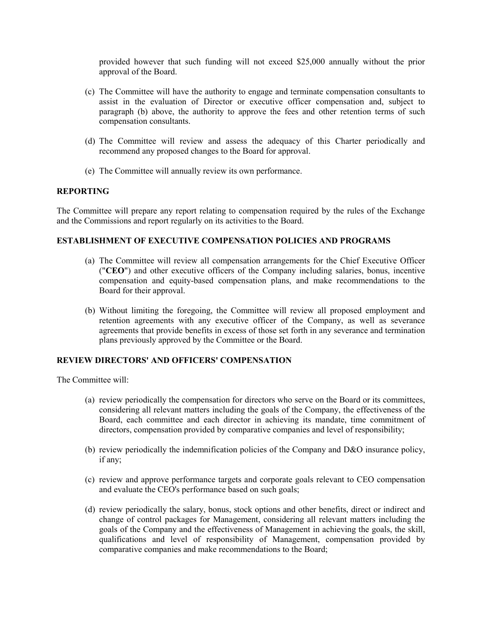provided however that such funding will not exceed \$25,000 annually without the prior approval of the Board.

- (c) The Committee will have the authority to engage and terminate compensation consultants to assist in the evaluation of Director or executive officer compensation and, subject to paragraph (b) above, the authority to approve the fees and other retention terms of such compensation consultants.
- (d) The Committee will review and assess the adequacy of this Charter periodically and recommend any proposed changes to the Board for approval.
- (e) The Committee will annually review its own performance.

## **REPORTING**

The Committee will prepare any report relating to compensation required by the rules of the Exchange and the Commissions and report regularly on its activities to the Board.

## **ESTABLISHMENT OF EXECUTIVE COMPENSATION POLICIES AND PROGRAMS**

- (a) The Committee will review all compensation arrangements for the Chief Executive Officer ("**CEO**") and other executive officers of the Company including salaries, bonus, incentive compensation and equity-based compensation plans, and make recommendations to the Board for their approval.
- (b) Without limiting the foregoing, the Committee will review all proposed employment and retention agreements with any executive officer of the Company, as well as severance agreements that provide benefits in excess of those set forth in any severance and termination plans previously approved by the Committee or the Board.

# **REVIEW DIRECTORS' AND OFFICERS' COMPENSATION**

The Committee will:

- (a) review periodically the compensation for directors who serve on the Board or its committees, considering all relevant matters including the goals of the Company, the effectiveness of the Board, each committee and each director in achieving its mandate, time commitment of directors, compensation provided by comparative companies and level of responsibility;
- (b) review periodically the indemnification policies of the Company and D&O insurance policy, if any;
- (c) review and approve performance targets and corporate goals relevant to CEO compensation and evaluate the CEO's performance based on such goals;
- (d) review periodically the salary, bonus, stock options and other benefits, direct or indirect and change of control packages for Management, considering all relevant matters including the goals of the Company and the effectiveness of Management in achieving the goals, the skill, qualifications and level of responsibility of Management, compensation provided by comparative companies and make recommendations to the Board;